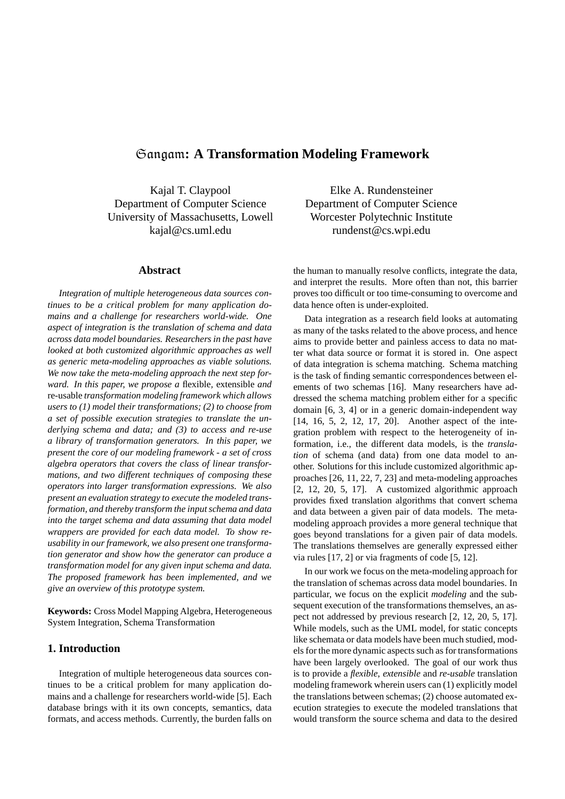# Sangam**: A Transformation Modeling Framework**

Kajal T. Claypool Department of Computer Science University of Massachusetts, Lowell kajal@cs.uml.edu

#### **Abstract**

*Integration of multiple heterogeneous data sources continues to be a critical problem for many application domains and a challenge for researchers world-wide. One aspect of integration is the translation of schema and data across data model boundaries. Researchers in the past have looked at both customized algorithmic approaches as well as generic meta-modeling approaches as viable solutions. We now take the meta-modeling approach the next step forward. In this paper, we propose a* flexible*,* extensible *and* re-usable *transformation modeling framework which allows users to (1) model their transformations; (2) to choose from a set of possible execution strategies to translate the underlying schema and data; and (3) to access and re-use a library of transformation generators. In this paper, we present the core of our modeling framework - a set of cross algebra operators that covers the class of linear transformations, and two different techniques of composing these operators into larger transformation expressions. We also present an evaluation strategy to execute the modeled transformation, and thereby transform the inputschema and data into the target schema and data assuming that data model wrappers are provided for each data model. To show reusability in our framework, we also present one transformation generator and show how the generator can produce a transformation model for any given input schema and data. The proposed framework has been implemented, and we give an overview of this prototype system.*

**Keywords:** Cross Model Mapping Algebra, Heterogeneous System Integration, Schema Transformation

# **1. Introduction**

Integration of multiple heterogeneous data sources continues to be a critical problem for many application domains and a challenge for researchers world-wide [5]. Each database brings with it its own concepts, semantics, data formats, and access methods. Currently, the burden falls on

Elke A. Rundensteiner Department of Computer Science Worcester Polytechnic Institute rundenst@cs.wpi.edu

the human to manually resolve conflicts, integrate the data, and interpret the results. More often than not, this barrier proves too difficult or too time-consuming to overcome and data hence often is under-exploited.

Data integration as a research field looks at automating as many of the tasks related to the above process, and hence aims to provide better and painless access to data no matter what data source or format it is stored in. One aspect of data integration is schema matching. Schema matching is the task of finding semantic correspondences between elements of two schemas [16]. Many researchers have addressed the schema matching problem either for a specific domain [6, 3, 4] or in a generic domain-independent way [14, 16, 5, 2, 12, 17, 20]. Another aspect of the integration problem with respect to the heterogeneity of information, i.e., the different data models, is the *translation* of schema (and data) from one data model to another. Solutions for this include customized algorithmic approaches [26, 11, 22, 7, 23] and meta-modeling approaches [2, 12, 20, 5, 17]. A customized algorithmic approach provides fixed translation algorithms that convert schema and data between a given pair of data models. The metamodeling approach provides a more general technique that goes beyond translations for a given pair of data models. The translations themselves are generally expressed either via rules [17, 2] or via fragments of code [5, 12].

In our work we focus on the meta-modeling approach for the translation of schemas across data model boundaries. In particular, we focus on the explicit *modeling* and the subsequent execution of the transformations themselves, an aspect not addressed by previous research [2, 12, 20, 5, 17]. While models, such as the UML model, for static concepts like schemata or data models have been much studied, models for the more dynamic aspects such as for transformations have been largely overlooked. The goal of our work thus is to provide a *flexible*, *extensible* and *re-usable* translation modeling framework wherein users can (1) explicitly model the translations between schemas; (2) choose automated execution strategies to execute the modeled translations that would transform the source schema and data to the desired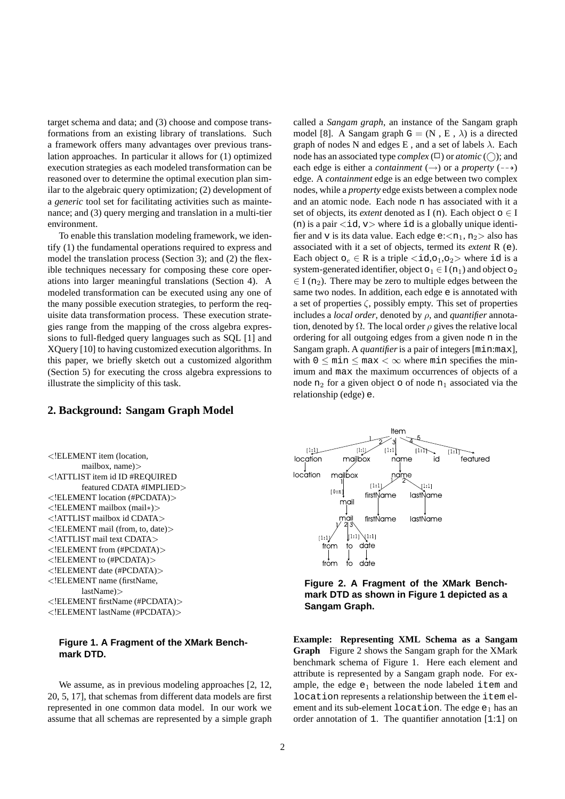target schema and data; and (3) choose and compose transformations from an existing library of translations. Such a framework offers many advantages over previous translation approaches. In particular it allows for (1) optimized execution strategies as each modeled transformation can be reasoned over to determine the optimal execution plan similar to the algebraic query optimization; (2) development of a *generic* tool set for facilitating activities such as maintenance; and (3) query merging and translation in a multi-tier environment.

To enable this translation modeling framework, we identify (1) the fundamental operations required to express and model the translation process (Section 3); and (2) the flexible techniques necessary for composing these core operations into larger meaningful translations (Section 4). A modeled transformation can be executed using any one of the many possible execution strategies, to perform the requisite data transformation process. These execution strategies range from the mapping of the cross algebra expressions to full-fledged query languages such as SQL [1] and XQuery [10] to having customized execution algorithms. In this paper, we briefly sketch out a customized algorithm (Section 5) for executing the cross algebra expressions to illustrate the simplicity of this task.

# **2. Background: Sangam Graph Model**

<!ELEMENT item (location, mailbox, name)> <!ATTLIST item id ID #REQUIRED featured CDATA #IMPLIED> <!ELEMENT location (#PCDATA)> <!ELEMENT mailbox (mail∗)> <!ATTLIST mailbox id CDATA> <!ELEMENT mail (from, to, date)> <!ATTLIST mail text CDATA> <!ELEMENT from (#PCDATA)> <!ELEMENT to (#PCDATA)> <!ELEMENT date (#PCDATA)> <!ELEMENT name (firstName, lastName)> <!ELEMENT firstName (#PCDATA)> <!ELEMENT lastName (#PCDATA)>

### **Figure 1. A Fragment of the XMark Benchmark DTD.**

We assume, as in previous modeling approaches [2, 12, 20, 5, 17], that schemas from different data models are first represented in one common data model. In our work we assume that all schemas are represented by a simple graph called a *Sangam graph*, an instance of the Sangam graph model [8]. A Sangam graph  $G = (N, E, \lambda)$  is a directed graph of nodes N and edges E, and a set of labels  $\lambda$ . Each node has an associated type *complex*  $(\Box)$  or *atomic*  $(\bigcirc)$ ; and each edge is either a *containment* ( $\rightarrow$ ) or a *property* ( $\rightarrow$ ) edge. A *containment* edge is an edge between two complex nodes, while a *property* edge exists between a complex node and an atomic node. Each node n has associated with it a set of objects, its *extent* denoted as I (n). Each object  $o \in I$ (n) is a pair  $\langle id, v \rangle$  where id is a globally unique identifier and v is its data value. Each edge  $e:\langle n_1, n_2 \rangle$  also has associated with it a set of objects, termed its *extent* R (e). Each object  $o_e \in R$  is a triple  $\langle id, o_1, o_2 \rangle$  where id is a system-generated identifier, object  $o_1 \in I(n_1)$  and object  $o_2$  $\in$  I (n<sub>2</sub>). There may be zero to multiple edges between the same two nodes. In addition, each edge e is annotated with a set of properties  $\zeta$ , possibly empty. This set of properties includes a *local order*, denoted by ρ, and *quantifier* annotation, denoted by  $\Omega$ . The local order  $\rho$  gives the relative local ordering for all outgoing edges from a given node n in the Sangam graph. A *quantifier*is a pair of integers [min:max], with  $0 \leq \min \leq \max < \infty$  where min specifies the minimum and max the maximum occurrences of objects of a node  $n_2$  for a given object  $\circ$  of node  $n_1$  associated via the relationship (edge) e.



**Figure 2. A Fragment of the XMark Benchmark DTD as shown in Figure 1 depicted as a Sangam Graph.**

**Example: Representing XML Schema as a Sangam Graph** Figure 2 shows the Sangam graph for the XMark benchmark schema of Figure 1. Here each element and attribute is represented by a Sangam graph node. For example, the edge  $e_1$  between the node labeled item and location represents a relationship between the item element and its sub-element location. The edge  $e_1$  has an order annotation of 1. The quantifier annotation [1:1] on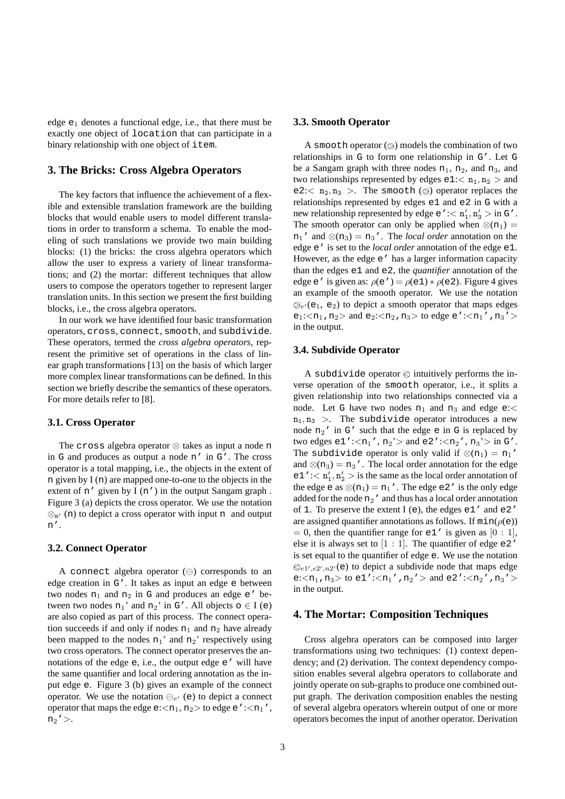edge  $e_1$  denotes a functional edge, i.e., that there must be exactly one object of location that can participate in a binary relationship with one object of item.

### **3. The Bricks: Cross Algebra Operators**

The key factors that influence the achievement of a flexible and extensible translation framework are the building blocks that would enable users to model different translations in order to transform a schema. To enable the modeling of such translations we provide two main building blocks: (1) the bricks: the cross algebra operators which allow the user to express a variety of linear transformations; and (2) the mortar: different techniques that allow users to compose the operators together to represent larger translation units. In this section we present the first building blocks, i.e., the cross algebra operators.

In our work we have identified four basic transformation operators, cross, connect, smooth, and subdivide. These operators, termed the *cross algebra operators*, represent the primitive set of operations in the class of linear graph transformations [13] on the basis of which larger more complex linear transformations can be defined. In this section we briefly describe the semantics of these operators. For more details refer to [8].

#### **3.1. Cross Operator**

The cross algebra operator ⊗ takes as input a node n in G and produces as output a node n' in G'. The cross operator is a total mapping, i.e., the objects in the extent of n given by I (n) are mapped one-to-one to the objects in the extent of n' given by I (n') in the output Sangam graph. Figure 3 (a) depicts the cross operator. We use the notation  $\otimes_{n'}$  (n) to depict a cross operator with input n and output n'.

#### **3.2. Connect Operator**

A connect algebra operator  $(\ominus)$  corresponds to an edge creation in G'. It takes as input an edge e between two nodes  $n_1$  and  $n_2$  in G and produces an edge  $e'$  between two nodes  $n_1'$  and  $n_2'$  in G'. All objects  $o \in I$  (e) are also copied as part of this process. The connect operation succeeds if and only if nodes  $n_1$  and  $n_2$  have already been mapped to the nodes  $n_1$ ' and  $n_2$ ' respectively using two cross operators. The connect operator preserves the annotations of the edge e, i.e., the output edge e' will have the same quantifier and local ordering annotation as the input edge e. Figure 3 (b) gives an example of the connect operator. We use the notation  $\bigoplus_{e'}$  (e) to depict a connect operator that maps the edge e: $\langle n_1, n_2 \rangle$  to edge e': $\langle n_1'$ ,  $n_2$ '>.

#### **3.3. Smooth Operator**

A smooth operator  $(\circledcirc)$  models the combination of two relationships in G to form one relationship in G'. Let G be a Sangam graph with three nodes  $n_1$ ,  $n_2$ , and  $n_3$ , and two relationships represented by edges  $e1$ : $\langle n_1, n_2 \rangle$  and e2: $\langle n_2, n_3 \rangle$ . The smooth ( $\otimes$ ) operator replaces the relationships represented by edges e1 and e2 in G with a new relationship represented by edge  $e' : < n'_1, n'_3 > in \, \text{G}'$ . The smooth operator can only be applied when  $\otimes$ (n<sub>1</sub>) =  $n_1'$  and  $\otimes (n_3) = n_3'$ . The *local order* annotation on the edge e' is set to the *local order* annotation of the edge e1. However, as the edge e' has a larger information capacity than the edges e1 and e2, the *quantifier* annotation of the edge e' is given as:  $\rho(e') = \rho(e1) * \rho(e2)$ . Figure 4 gives an example of the smooth operator. We use the notation  $\mathcal{D}_{e'}(e_1, e_2)$  to depict a smooth operator that maps edges  $e_1$ :  $\langle n_1, n_2 \rangle$  and  $e_2$ :  $\langle n_2, n_3 \rangle$  to edge e':  $\langle n_1' , n_3' \rangle$ in the output.

#### **3.4. Subdivide Operator**

A subdivide operator  $\otimes$  intuitively performs the inverse operation of the smooth operator, i.e., it splits a given relationship into two relationships connected via a node. Let G have two nodes  $n_1$  and  $n_3$  and edge e:<  $n_1, n_3 >$ . The subdivide operator introduces a new node  $n_2'$  in G' such that the edge e in G is replaced by two edges  $e1'$ :  $\langle n_1', n_2' \rangle$  and  $e2'$ :  $\langle n_2', n_3' \rangle$  in  $G'$ . The subdivide operator is only valid if  $\otimes$ (n<sub>1</sub>) = n<sub>1</sub>' and  $\otimes$ (n<sub>3</sub>) = n<sub>3</sub>'. The local order annotation for the edge  $e_1'':<\mathbf{n}'_1,\mathbf{n}'_2>$  is the same as the local order annotation of the edge e as  $\otimes$ (n<sub>1</sub>) = n<sub>1</sub>'. The edge e2' is the only edge added for the node  $n_2'$  and thus has a local order annotation of 1. To preserve the extent I (e), the edges e1' and e2' are assigned quantifier annotations as follows. If  $min(\rho(e))$  $= 0$ , then the quantifier range for e1' is given as [0 : 1], else it is always set to  $[1:1]$ . The quantifier of edge e2' is set equal to the quantifier of edge e. We use the notation  $\otimes_{e1',e2',n2'}$ (e) to depict a subdivide node that maps edge e: $\langle n_1, n_3 \rangle$  to e1': $\langle n_1', n_2' \rangle$  and e2': $\langle n_2', n_3' \rangle$ in the output.

#### **4. The Mortar: Composition Techniques**

Cross algebra operators can be composed into larger transformations using two techniques: (1) context dependency; and (2) derivation. The context dependency composition enables several algebra operators to collaborate and jointly operate on sub-graphs to produce one combined output graph. The derivation composition enables the nesting of several algebra operators wherein output of one or more operators becomes the input of another operator. Derivation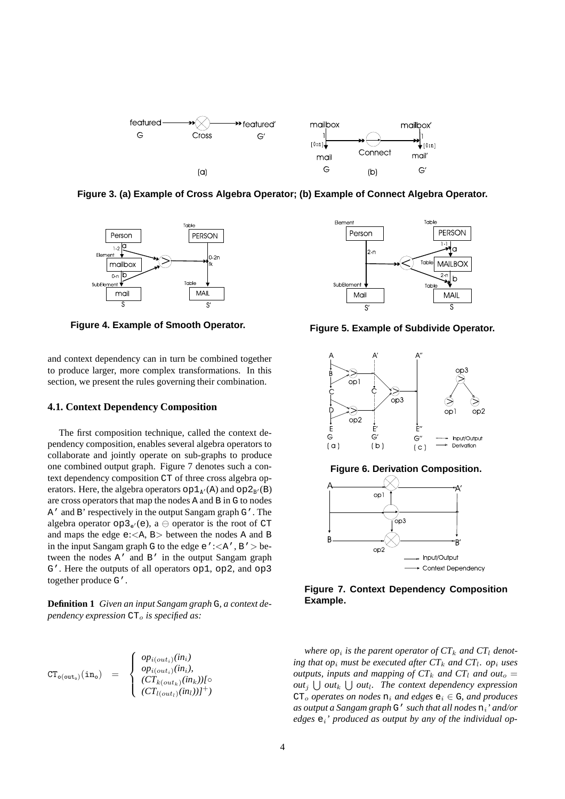

**Figure 3. (a) Example of Cross Algebra Operator; (b) Example of Connect Algebra Operator.**



**Figure 4. Example of Smooth Operator. Figure 5. Example of Subdivide Operator.**

and context dependency can in turn be combined together to produce larger, more complex transformations. In this section, we present the rules governing their combination.

#### **4.1. Context Dependency Composition**

The first composition technique, called the context dependency composition, enables several algebra operators to collaborate and jointly operate on sub-graphs to produce one combined output graph. Figure 7 denotes such a context dependency composition CT of three cross algebra operators. Here, the algebra operators  $op1_{A'}(A)$  and  $op2_{B'}(B)$ are cross operators that map the nodes A and B in G to nodes A' and B' respectively in the output Sangam graph G'. The algebra operator  $op_3e_0(e)$ , a  $\ominus$  operator is the root of CT and maps the edge  $e:\langle A, B \rangle$  between the nodes A and B in the input Sangam graph G to the edge  $e'$ : $\lt$ A', B' > between the nodes A' and B' in the output Sangam graph G'. Here the outputs of all operators op1, op2, and op3 together produce G'.

**Definition 1** *Given an input Sangam graph* G*, a context dependency expression*  $CT<sub>o</sub>$  *is specified as:* 

$$
CT_{\mathsf{o}(\mathsf{out}_{\mathsf{o}})}(\mathtt{in}_{\mathsf{o}}) = \begin{cases} op_{i(\mathsf{out}_i)}(in_i) \\ op_{i(\mathsf{out}_i)}(in_i), \\ (CT_{k(\mathsf{out}_k)}(in_k))I^{\mathsf{o}} \\ (CT_{l(\mathsf{out}_l)}(in_l))I^+) \end{cases}
$$









*where*  $op_i$  *is the parent operator of*  $CT_k$  *and*  $CT_l$  *denoting that*  $op_i$  *must be executed after*  $CT_k$  *and*  $CT_l$ *.*  $op_i$  *uses outputs, inputs and mapping of*  $CT_k$  *and*  $CT_l$  *and*  $out_o$  = *out*<sub>j</sub>  $\bigcup$  *out*<sub>k</sub>  $\bigcup$  *out*<sub>k</sub>. The *context dependency expression*  $CT_0$  *operates on nodes*  $n_i$  *and edges*  $e_i \in G$ *, and produces as output a Sangam graph* G' *such that all nodes* ni*' and/or edges* ei*' produced as output by any of the individual op-*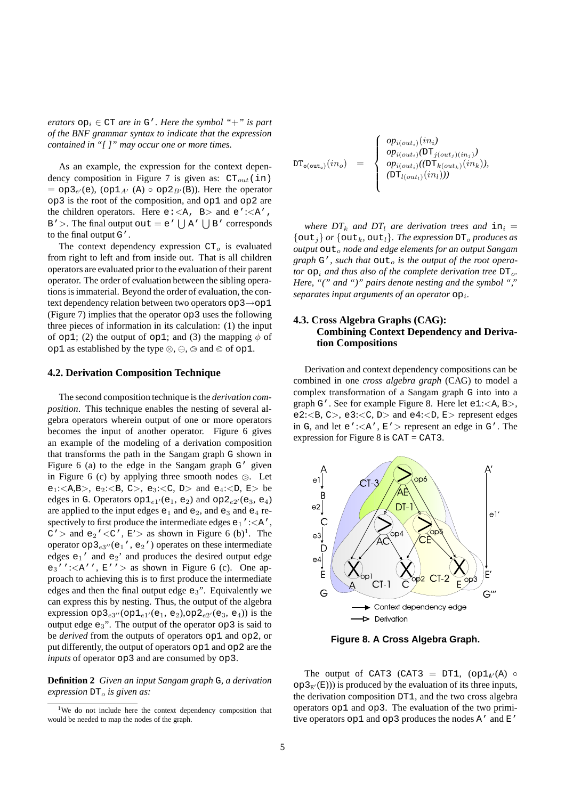*erators*  $op_i \in CT$  *are in*  $G'$ *. Here the symbol* "+" *is part of the BNF grammar syntax to indicate that the expression contained in "[ ]" may occur one or more times.*

As an example, the expression for the context dependency composition in Figure 7 is given as:  $CT_{out}(in)$  $= op3_{e'}(e)$ ,  $(op1_{A'}(A) \circ op2_{B'}(B))$ . Here the operator op3 is the root of the composition, and op1 and op2 are the children operators. Here  $e: ,  $B>$  and  $e':,$$  $B'$  >. The final output out = e'  $\bigcup A' \bigcup B'$  corresponds to the final output G'.

The context dependency expression  $CT<sub>o</sub>$  is evaluated from right to left and from inside out. That is all children operators are evaluated prior to the evaluation of their parent operator. The order of evaluation between the sibling operations is immaterial. Beyond the order of evaluation, the context dependency relation between two operators op3→op1 (Figure 7) implies that the operator op3 uses the following three pieces of information in its calculation: (1) the input of op1; (2) the output of op1; and (3) the mapping  $\phi$  of op1 as established by the type  $\otimes$ ,  $\ominus$ ,  $\otimes$  and  $\otimes$  of op1.

### **4.2. Derivation Composition Technique**

The second composition technique is the *derivation composition*. This technique enables the nesting of several algebra operators wherein output of one or more operators becomes the input of another operator. Figure 6 gives an example of the modeling of a derivation composition that transforms the path in the Sangam graph G shown in Figure 6 (a) to the edge in the Sangam graph G' given in Figure 6 (c) by applying three smooth nodes  $\otimes$ . Let e<sub>1</sub>:  $\langle A,B \rangle$ , e<sub>2</sub>:  $\langle B, C \rangle$ , e<sub>3</sub>:  $\langle C, D \rangle$  and e<sub>4</sub>:  $\langle D, E \rangle$  be edges in G. Operators  $op1_{e1}(e_1, e_2)$  and  $op2_{e2}(e_3, e_4)$ are applied to the input edges  $e_1$  and  $e_2$ , and  $e_3$  and  $e_4$  respectively to first produce the intermediate edges  $e_1$ ': $\langle A',$  $C'$  and  $e_2'$  < C',  $E'$  as shown in Figure 6 (b)<sup>1</sup>. The operator  $op2e3''(e_1', e_2')$  operates on these intermediate edges  $e_1'$  and  $e_2'$  and produces the desired output edge  $e_3'$ ':  $\langle A' \rangle$ ,  $E'$ '  $>$  as shown in Figure 6 (c). One approach to achieving this is to first produce the intermediate edges and then the final output edge  $e_3$ ". Equivalently we can express this by nesting. Thus, the output of the algebra expression  $op_3e_{3''}(op_1e_{1'}(e_1, e_2), op_2e_{2'}(e_3, e_4))$  is the output edge  $e_3$ ". The output of the operator  $op3$  is said to be *derived* from the outputs of operators op1 and op2, or put differently, the output of operators op1 and op2 are the *inputs* of operator op3 and are consumed by op3.

**Definition 2** *Given an input Sangam graph* G*, a derivation expression*  $DT_0$  *is given as:* 

$$
DT_{\mathsf{o}(\texttt{out}_{\mathsf{o}})}(in_{o}) = \begin{cases} op_{i(out_{i})}(in_{i}) \\ op_{i(out_{i})}(DT_{j(out_{j})(in_{j})} \\ op_{i(out_{i})}((DT_{k(out_{k})}(in_{k})), \\ (DT_{l(out_{l})}(in_{l}))) \end{cases}
$$

*where*  $DT_k$  *and*  $DT_l$  *are derivation trees and*  $in_i =$  $\{\text{out}_i\}$  *or*  $\{\text{out}_k, \text{out}_l\}$ *. The expression*  $DT$ <sub>*o</sub> produces as*</sub> *output*  $\text{out}_o$  *node and edge elements for an output* Sangam *graph*  $G'$ , *such that*  $\text{out}_o$  *is the output of the root operator*  $op_i$  *and thus also of the complete derivation tree*  $DT_o$ *. Here, "(" and ")" pairs denote nesting and the symbol ","* separates input arguments of an operator  $op_i$ .

### **4.3. Cross Algebra Graphs (CAG): Combining Context Dependency and Derivation Compositions**

Derivation and context dependency compositions can be combined in one *cross algebra graph* (CAG) to model a complex transformation of a Sangam graph G into into a graph G'. See for example Figure 8. Here let  $e1:$ , e2: $\langle B, C \rangle$ , e3: $\langle C, D \rangle$  and e4: $\langle D, E \rangle$  represent edges in G, and let  $e'$ :  $\langle A', E' \rangle$  represent an edge in G'. The expression for Figure 8 is CAT = CAT3.



**Figure 8. A Cross Algebra Graph.**

The output of CAT3 (CAT3 = DT1,  $(\text{op1}_{A'}(A) \circ$  $op_2E'(\mathbb{E}))$  is produced by the evaluation of its three inputs, the derivation composition DT1, and the two cross algebra operators op1 and op3. The evaluation of the two primitive operators  $op1$  and  $op3$  produces the nodes A' and E'

<sup>&</sup>lt;sup>1</sup>We do not include here the context dependency composition that would be needed to map the nodes of the graph.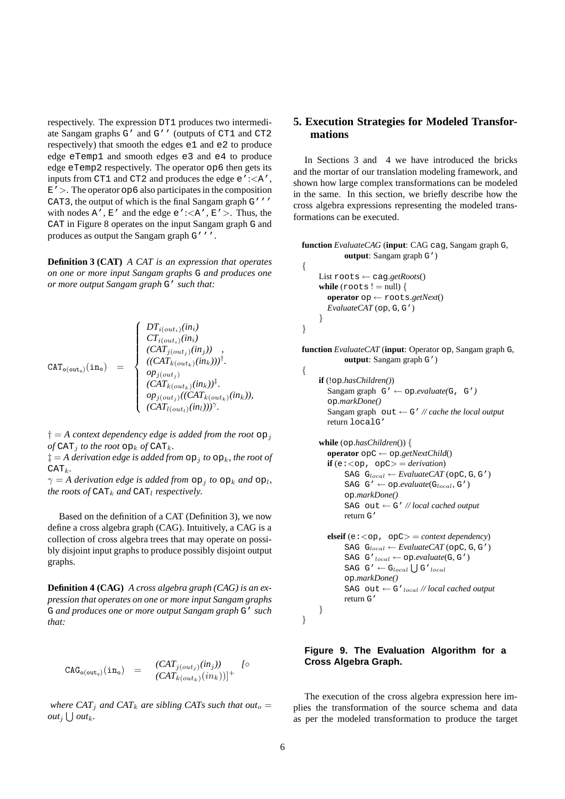respectively. The expression DT1 produces two intermediate Sangam graphs G' and G'' (outputs of CT1 and CT2 respectively) that smooth the edges e1 and e2 to produce edge eTemp1 and smooth edges e3 and e4 to produce edge eTemp2 respectively. The operator op6 then gets its inputs from CT1 and CT2 and produces the edge e':<A',  $E'$ . The operator op6 also participates in the composition CAT3, the output of which is the final Sangam graph G''' with nodes  $A'$ ,  $E'$  and the edge  $e'$ :  $\langle A', E' \rangle$ . Thus, the CAT in Figure 8 operates on the input Sangam graph G and produces as output the Sangam graph G'''.

**Definition 3 (CAT)** *A CAT is an expression that operates on one or more input Sangam graphs* G *and produces one or more output Sangam graph* G' *such that:*

$$
\texttt{CAT}_{\texttt{o}(\texttt{out}_{\texttt{o}})}(\texttt{in}_{\texttt{o}}) = \begin{cases} DT_{i(\texttt{out}_i)}(in_i) \\ CT_{i(\texttt{out}_i)}(in_i) \\ (CAT_{j(\texttt{out}_j)}(in_j)) \\ \texttt{((CAT}_{k(\texttt{out}_k)}(in_k)))^\dagger. \\ op_{j(\texttt{out}_j)} \\ (CAT_{k(\texttt{out}_k)}(in_k))^\ddagger. \\ (CAT_{l(\texttt{out}_l)}(in_l)))^\gamma. \end{cases}
$$

 $\dagger = A$  *context dependency edge is added from the root*  $op<sub>i</sub>$ *of* CAT<sub>*i</sub> to the root*  $op_k$  *of* CAT<sub>*k*</sub>.</sub>

 $\ddagger = A$  *derivation edge is added from*  $op_1$  *to*  $op_k$ *, the root of*  $CAT<sub>k</sub>$ .

 $\gamma = A$  *derivation edge is added from*  $\log_j$  *to*  $\log_k$  *and*  $\log_l$ , *the roots of*  $CAT_k$  *and*  $CAT_l$  *respectively.* 

Based on the definition of a CAT (Definition 3), we now define a cross algebra graph (CAG). Intuitively, a CAG is a collection of cross algebra trees that may operate on possibly disjoint input graphs to produce possibly disjoint output graphs.

**Definition 4 (CAG)** *A cross algebra graph (CAG) is an expression that operates on one or more input Sangam graphs* G *and produces one or more output Sangam graph* G' *such that:*

$$
CAG_{\text{o}(\text{out}_o)}(\text{in}_o) = \frac{(CAT_{j(out_j)}(in_j))}{(CAT_{k(out_k)}(in_k))]^{+}} \quad \text{[0]}
$$

*where*  $CAT_j$  *and*  $CAT_k$  *are sibling*  $CAT_s$  *such that*  $out_o =$ *out*<sub>j</sub>  $\bigcup$  *out*<sub>k</sub>.

# **5. Execution Strategies for Modeled Transformations**

In Sections 3 and 4 we have introduced the bricks and the mortar of our translation modeling framework, and shown how large complex transformations can be modeled in the same. In this section, we briefly describe how the cross algebra expressions representing the modeled transformations can be executed.

```
function EvaluateCAG (input: CAG cag, Sangam graph G,
           output: Sangam graph G')
{
```

```
List roots ← cag.getRoots()
while (roots ! = \text{null}) {
  operator op ← roots.getNext()
  EvaluateCAT (op, G, G')
}
```
}

**function** *EvaluateCAT* (**input**: Operator op, Sangam graph G, **output**: Sangam graph G') {

```
if (!op.hasChildren())
  Sangam graph G' \leftarrow op.evaluate(G, G')
  op.markDone()
  Sangam graph out \leftarrow G' // cache the local output
  return localG'
```
**while** (op.*hasChildren*()) { **operator** opC ← op.*getNextChild*() **if** (e: $\langle op, opC \rangle =$  *derivation*)  $SAG G_{local} \leftarrow EvaluateCAT(opC, G, G')$  $SAG G' \leftarrow op.evaluate(G<sub>local</sub>, G')$ op.*markDone()* SAG out ← G' *// local cached output* return G'

```
\text{elseif}(e: < op, opC) = \text{context dependency}\texttt{SAG } \texttt{G}_{local} \leftarrow \textit{EvaluateCAT}\left(\texttt{opC}, \texttt{G}, \texttt{G'}\right)SAG G'local ← op.evaluate(G, G')
      SAG G' \leftarrow G_{local} \cup G'_{local}op.markDone()
      SAG out \leftarrow G'<sub>local</sub> // local cached output
      return G'
```

```
}
```
}

# **Figure 9. The Evaluation Algorithm for a Cross Algebra Graph.**

The execution of the cross algebra expression here implies the transformation of the source schema and data as per the modeled transformation to produce the target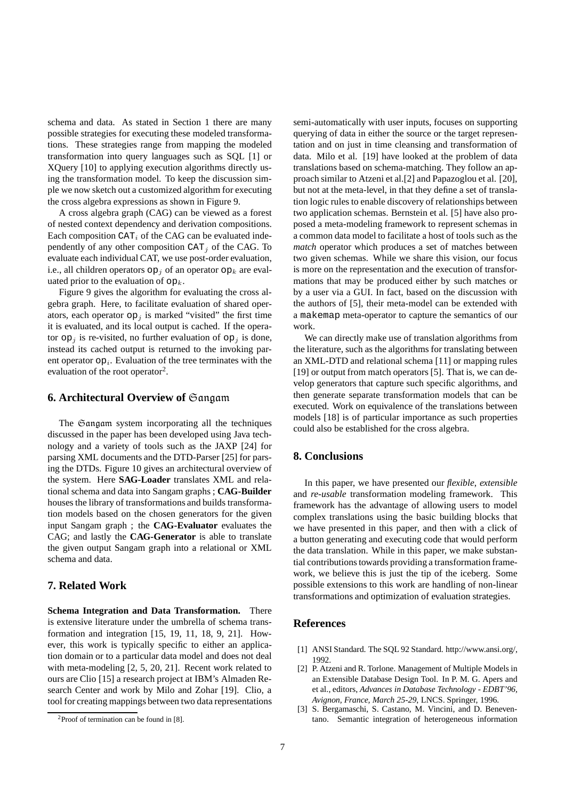schema and data. As stated in Section 1 there are many possible strategies for executing these modeled transformations. These strategies range from mapping the modeled transformation into query languages such as SQL [1] or XQuery [10] to applying execution algorithms directly using the transformation model. To keep the discussion simple we now sketch out a customized algorithm for executing the cross algebra expressions as shown in Figure 9.

A cross algebra graph (CAG) can be viewed as a forest of nested context dependency and derivation compositions. Each composition  $CAT_i$  of the CAG can be evaluated independently of any other composition  $CAT_i$  of the CAG. To evaluate each individual CAT, we use post-order evaluation, i.e., all children operators  $op_i$  of an operator  $op_k$  are evaluated prior to the evaluation of  $op_k$ .

Figure 9 gives the algorithm for evaluating the cross algebra graph. Here, to facilitate evaluation of shared operators, each operator  $op_i$  is marked "visited" the first time it is evaluated, and its local output is cached. If the operator  $op_i$  is re-visited, no further evaluation of  $op_i$  is done, instead its cached output is returned to the invoking parent operator  $op_i$ . Evaluation of the tree terminates with the evaluation of the root operator<sup>2</sup>.

### **6. Architectural Overview of** Sangam

The Gangam system incorporating all the techniques discussed in the paper has been developed using Java technology and a variety of tools such as the JAXP [24] for parsing XML documents and the DTD-Parser [25] for parsing the DTDs. Figure 10 gives an architectural overview of the system. Here **SAG-Loader** translates XML and relational schema and data into Sangam graphs ; **CAG-Builder** houses the library of transformations and builds transformation models based on the chosen generators for the given input Sangam graph ; the **CAG-Evaluator** evaluates the CAG; and lastly the **CAG-Generator** is able to translate the given output Sangam graph into a relational or XML schema and data.

### **7. Related Work**

**Schema Integration and Data Transformation.** There is extensive literature under the umbrella of schema transformation and integration [15, 19, 11, 18, 9, 21]. However, this work is typically specific to either an application domain or to a particular data model and does not deal with meta-modeling [2, 5, 20, 21]. Recent work related to ours are Clio [15] a research project at IBM's Almaden Research Center and work by Milo and Zohar [19]. Clio, a tool for creating mappings between two data representations semi-automatically with user inputs, focuses on supporting querying of data in either the source or the target representation and on just in time cleansing and transformation of data. Milo et al. [19] have looked at the problem of data translations based on schema-matching. They follow an approach similar to Atzeni et al.[2] and Papazoglou et al. [20], but not at the meta-level, in that they define a set of translation logic rules to enable discovery of relationships between two application schemas. Bernstein et al. [5] have also proposed a meta-modeling framework to represent schemas in a common data model to facilitate a host of tools such as the *match* operator which produces a set of matches between two given schemas. While we share this vision, our focus is more on the representation and the execution of transformations that may be produced either by such matches or by a user via a GUI. In fact, based on the discussion with the authors of [5], their meta-model can be extended with a makemap meta-operator to capture the semantics of our work.

We can directly make use of translation algorithms from the literature, such as the algorithms for translating between an XML-DTD and relational schema [11] or mapping rules [19] or output from match operators [5]. That is, we can develop generators that capture such specific algorithms, and then generate separate transformation models that can be executed. Work on equivalence of the translations between models [18] is of particular importance as such properties could also be established for the cross algebra.

# **8. Conclusions**

In this paper, we have presented our *flexible*, *extensible* and *re-usable* transformation modeling framework. This framework has the advantage of allowing users to model complex translations using the basic building blocks that we have presented in this paper, and then with a click of a button generating and executing code that would perform the data translation. While in this paper, we make substantial contributions towards providing a transformation framework, we believe this is just the tip of the iceberg. Some possible extensions to this work are handling of non-linear transformations and optimization of evaluation strategies.

### **References**

- [1] ANSI Standard. The SQL 92 Standard. http://www.ansi.org/, 1992.
- [2] P. Atzeni and R. Torlone. Management of Multiple Models in an Extensible Database Design Tool. In P. M. G. Apers and et al., editors, *Advances in Database Technology - EDBT'96, Avignon, France, March 25-29*, LNCS. Springer, 1996.
- [3] S. Bergamaschi, S. Castano, M. Vincini, and D. Beneventano. Semantic integration of heterogeneous information

<sup>2</sup>Proof of termination can be found in [8].